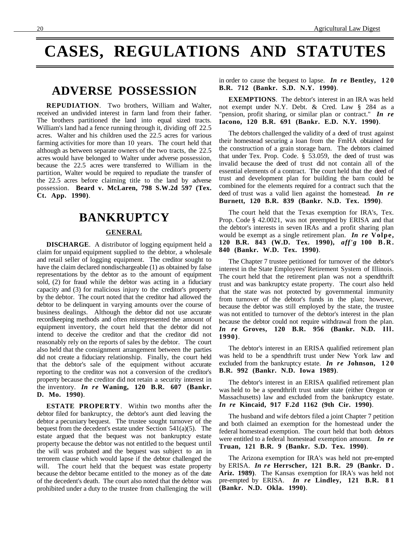# **CASES, REGULATIONS AND STATUTES**

## **ADVERSE POSSESSION**

**REPUDIATION**. Two brothers, William and Walter, received an undivided interest in farm land from their father. The brothers partitioned the land into equal sized tracts. William's land had a fence running through it, dividing off 22.5 acres. Walter and his children used the 22.5 acres for various farming activities for more than 10 years. The court held that although as between separate owners of the two tracts, the 22.5 acres would have belonged to Walter under adverse possession, because the 22.5 acres were transferred to William in the partition, Walter would be required to repudiate the transfer of the 22.5 acres before claiming title to the land by adverse possession. **Beard v. McLaren, 798 S.W.2d 597 (Tex. Ct. App. 1990)**.

### **BANKRUPTCY**

#### **GENERAL**

**DISCHARGE**. A distributor of logging equipment held a claim for unpaid equipment supplied to the debtor, a wholesale and retail seller of logging equipment. The creditor sought to have the claim declared nondischargeable (1) as obtained by false representations by the debtor as to the amount of equipment sold, (2) for fraud while the debtor was acting in a fiduciary capacity and (3) for malicious injury to the creditor's property by the debtor. The court noted that the creditor had allowed the debtor to be delinquent in varying amounts over the course of business dealings. Although the debtor did not use accurate recordkeeping methods and often misrepresented the amount of equipment inventory, the court held that the debtor did not intend to deceive the creditor and that the creditor did not reasonably rely on the reports of sales by the debtor. The court also held that the consignment arrangement between the parties did not create a fiduciary relationship. Finally, the court held that the debtor's sale of the equipment without accurate reporting to the creditor was not a conversion of the creditor's property because the creditor did not retain a security interest in the inventory. *In re* **Waning, 120 B.R. 607 (Bankr. D. Mo. 1990)**.

**ESTATE PROPERTY**. Within two months after the debtor filed for bankruptcy, the debtor's aunt died leaving the debtor a pecuniary bequest. The trustee sought turnover of the bequest from the decedent's estate under Section 541(a)(5). The estate argued that the bequest was not bankruptcy estate property because the debtor was not entitled to the bequest until the will was probated and the bequest was subject to an in terrorem clause which would lapse if the debtor challenged the will. The court held that the bequest was estate property because the debtor became entitled to the money as of the date of the decedent's death. The court also noted that the debtor was prohibited under a duty to the trustee from challenging the will in order to cause the bequest to lapse. *In re* **Bentley, 120 B.R. 712 (Bankr. S.D. N.Y. 1990)**.

**EXEMPTIONS**. The debtor's interest in an IRA was held not exempt under N.Y. Debt. & Cred. Law § 284 as a "pension, profit sharing, or similar plan or contract." *In re* **Iacono, 120 B.R. 691 (Bankr. E.D. N.Y. 1990)**.

The debtors challenged the validity of a deed of trust against their homestead securing a loan from the FmHA obtained for the construction of a grain storage barn. The debtors claimed that under Tex. Prop. Code. § 53.059, the deed of trust was invalid because the deed of trust did not contain all of the essential elements of a contract. The court held that the deed of trust and development plan for building the barn could be combined for the elements required for a contract such that the deed of trust was a valid lien against the homestead. *In re* **Burnett, 120 B.R. 839 (Bankr. N.D. Tex. 1990)**.

The court held that the Texas exemption for IRA's, Tex. Prop. Code § 42.0021, was not preempted by ERISA and that the debtor's interests in seven IRAs and a profit sharing plan would be exempt as a single retirement plan. *In re* **Volpe, 120 B.R. 843 (W.D. Tex. 1990),** *aff'g* **100 B.R. 840 (Bankr. W.D. Tex. 1990)**.

The Chapter 7 trustee petitioned for turnover of the debtor's interest in the State Employees' Retirement System of Illinois. The court held that the retirement plan was not a spendthrift trust and was bankruptcy estate property. The court also held that the state was not protected by governmental immunity from turnover of the debtor's funds in the plan; however, because the debtor was still employed by the state, the trustee was not entitled to turnover of the debtor's interest in the plan because the debtor could not require withdrawal from the plan. *In re* **Groves, 120 B.R. 956 (Bankr. N.D. Ill. 1990)**.

The debtor's interest in an ERISA qualified retirement plan was held to be a spendthrift trust under New York law and excluded from the bankruptcy estate. *In re* **Johnson, 120 B.R. 992 (Bankr. N.D. Iowa 1989)**.

The debtor's interest in an ERISA qualified retirement plan was held to be a spendthrift trust under state (either Oregon or Massachusetts) law and excluded from the bankruptcy estate. *In re* **Kincaid, 917 F.2d 1162 (9th Cir. 1990)**.

The husband and wife debtors filed a joint Chapter 7 petition and both claimed an exemption for the homestead under the federal homestead exemption. The court held that both debtors were entitled to a federal homestead exemption amount. *In re* **Truan, 121 B.R. 9 (Bankr. S.D. Tex. 1990)**.

The Arizona exemption for IRA's was held not pre-empted by ERISA. *In re* **Herrscher, 121 B.R. 29 (Bankr. D . Ariz. 1989)**. The Kansas exemption for IRA's was held not pre-empted by ERISA. *In re* **Lindley, 121 B.R. 8 1 (Bankr. N.D. Okla. 1990)**.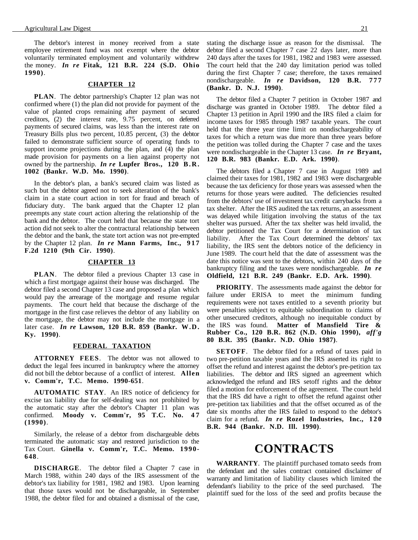The debtor's interest in money received from a state employee retirement fund was not exempt where the debtor voluntarily terminated employment and voluntarily withdrew the money. *In re* **Fitak, 121 B.R. 224 (S.D. Ohio 1990)**.

#### **CHAPTER 12**

**PLAN**. The debtor partnership's Chapter 12 plan was not confirmed where (1) the plan did not provide for payment of the value of planted crops remaining after payment of secured creditors, (2) the interest rate, 9.75 percent, on deferred payments of secured claims, was less than the interest rate on Treasury Bills plus two percent, 10.85 percent, (3) the debtor failed to demonstrate sufficient source of operating funds to support income projections during the plan, and  $(4)$  the plan made provision for payments on a lien against property not owned by the partnership. *In re* **Lupfer Bros., 120 B.R. 1002 (Bankr. W.D. Mo. 1990)**.

In the debtor's plan, a bank's secured claim was listed as such but the debtor agreed not to seek alteration of the bank's claim in a state court action in tort for fraud and breach of fiduciary duty. The bank argued that the Chapter 12 plan preempts any state court action altering the relationship of the bank and the debtor. The court held that because the state tort action did not seek to alter the contractural relationship between the debtor and the bank, the state tort action was not pre-empted by the Chapter 12 plan. *In re* **Mann Farms, Inc., 917 F.2d 1210 (9th Cir. 1990)**.

#### **CHAPTER 13**

**PLAN**. The debtor filed a previous Chapter 13 case in which a first mortgage against their house was discharged. The debtor filed a second Chapter 13 case and proposed a plan which would pay the arrearage of the mortgage and resume regular payments. The court held that because the discharge of the mortgage in the first case relieves the debtor of any liability on the mortgage, the debtor may not include the mortgage in a later case. *In re* **Lawson, 120 B.R. 859 (Bankr. W.D. Ky. 1990)**.

#### **FEDERAL TAXATION**

**ATTORNEY FEES**. The debtor was not allowed to deduct the legal fees incurred in bankruptcy where the attorney did not bill the debtor because of a conflict of interest. **Allen v. Comm'r, T.C. Memo. 1990-651**.

**AUTOMATIC STAY**. An IRS notice of deficiency for excise tax liability due for self-dealing was not prohibited by the automatic stay after the debtor's Chapter 11 plan was confirmed. **Moody v. Comm'r, 95 T.C. No. 4 7 (1990)**.

Similarly, the release of a debtor from dischargeable debts terminated the automatic stay and restored jurisdiction to the Tax Court. **Ginella v. Comm'r, T.C. Memo. 1990- 648**.

**DISCHARGE**. The debtor filed a Chapter 7 case in March 1988, within 240 days of the IRS assessment of the debtor's tax liability for 1981, 1982 and 1983. Upon learning that those taxes would not be dischargeable, in September 1988, the debtor filed for and obtained a dismissal of the case,

stating the discharge issue as reason for the dismissal. The debtor filed a second Chapter 7 case 22 days later, more than 240 days after the taxes for 1981, 1982 and 1983 were assessed. The court held that the 240 day limitation period was tolled during the first Chapter 7 case; therefore, the taxes remained nondischargeable. *In re* **Davidson, 120 B.R. 777 (Bankr. D. N.J. 1990)**.

The debtor filed a Chapter 7 petition in October 1987 and discharge was granted in October 1989. The debtor filed a Chapter 13 petition in April 1990 and the IRS filed a claim for income taxes for 1985 through 1987 taxable years. The court held that the three year time limit on nondischargeability of taxes for which a return was due more than three years before the petition was tolled during the Chapter 7 case and the taxes were nondischargeable in the Chapter 13 case. *In re* **Bryant, 120 B.R. 983 (Bankr. E.D. Ark. 1990)**.

The debtors filed a Chapter 7 case in August 1989 and claimed their taxes for 1981, 1982 and 1983 were dischargeable because the tax deficiency for those years was assessed when the returns for those years were audited. The deficiencies resulted from the debtors' use of investment tax credit carrybacks from a tax shelter. After the IRS audited the tax returns, an assessment was delayed while litigation involving the status of the tax shelter was pursued. After the tax shelter was held invalid, the debtor petitioned the Tax Court for a determination of tax liability. After the Tax Court determined the debtors' tax liability, the IRS sent the debtors notice of the deficiency in June 1989. The court held that the date of assessment was the date this notice was sent to the debtors, within 240 days of the bankruptcy filing and the taxes were nondischargeable. *In re* **Oldfield, 121 B.R. 249 (Bankr. E.D. Ark. 1990)**.

**PRIORITY**. The assessments made against the debtor for failure under ERISA to meet the minimum funding requirements were not taxes entitled to a seventh priority but were penalties subject to equitable subordination to claims of other unsecured creditors, although no inequitable conduct by the IRS was found. **Matter of Mansfield Tire & Rubber Co., 120 B.R. 862 (N.D. Ohio 1990),** *aff'g* **80 B.R. 395 (Bankr. N.D. Ohio 1987)**.

**SETOFF**. The debtor filed for a refund of taxes paid in two pre-petition taxable years and the IRS asserted its right to offset the refund and interest against the debtor's pre-petition tax liabilities. The debtor and IRS signed an agreement which acknowledged the refund and IRS setoff rights and the debtor filed a motion for enforcement of the agreement. The court held that the IRS did have a right to offset the refund against other pre-petition tax liabilities and that the offset occurred as of the date six months after the IRS failed to respond to the debtor's claim for a refund. *In re* **Rozel Industries, Inc., 120 B.R. 944 (Bankr. N.D. Ill. 1990)**.

# **CONTRACTS**

**WARRANTY**. The plaintiff purchased tomato seeds from the defendant and the sales contract contained disclaimer of warranty and limitation of liability clauses which limited the defendant's liability to the price of the seed purchased. The plaintiff sued for the loss of the seed and profits because the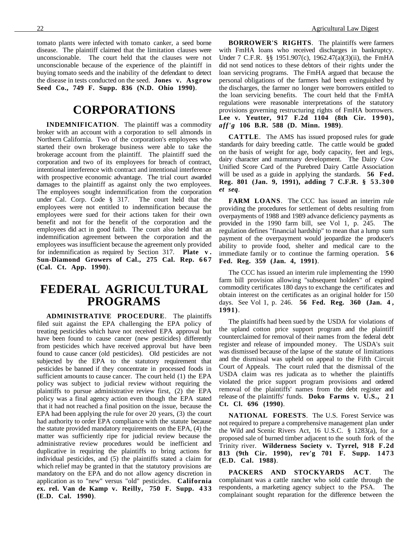tomato plants were infected with tomato canker, a seed borne disease. The plaintiff claimed that the limitation clauses were unconscionable. The court held that the clauses were not unconscionable because of the experience of the plaintiff in buying tomato seeds and the inability of the defendant to detect the disease in tests conducted on the seed. **Jones v. Asgrow Seed Co., 749 F. Supp. 836 (N.D. Ohio 1990)**.

### **CORPORATIONS**

**INDEMNIFICATION**. The plaintiff was a commodity broker with an account with a corporation to sell almonds in Northern California. Two of the corporation's employees who started their own brokerage business were able to take the brokerage account from the plaintiff. The plaintiff sued the corporation and two of its employees for breach of contract, intentional interference with contract and intentional interference with prospective economic advantage. The trial court awarded damages to the plaintiff as against only the two employees. The employees sought indemnification from the corporation under Cal. Corp. Code § 317. The court held that the employees were not entitled to indemnification because the employees were sued for their actions taken for their own benefit and not for the benefit of the corporation and the employees did act in good faith. The court also held that an indemnification agreement between the corporation and the employees was insufficient because the agreement only provided for indemnification as required by Section 317. **Plate v .** Sun-Diamond Growers of Cal., 275 Cal. Rep. 667 **(Cal. Ct. App. 1990)**.

# **FEDERAL AGRICULTURAL PROGRAMS**

**ADMINISTRATIVE PROCEDURE**. The plaintiffs filed suit against the EPA challenging the EPA policy of treating pesticides which have not received EPA approval but have been found to cause cancer (new pesticides) differently from pesticides which have received approval but have been found to cause cancer (old pesticides). Old pesticides are not subjected by the EPA to the statutory requirement that pesticides be banned if they concentrate in processed foods in sufficient amounts to cause cancer. The court held (1) the EPA policy was subject to judicial review without requiring the plaintiffs to pursue administrative review first, (2) the EPA policy was a final agency action even though the EPA stated that it had not reached a final position on the issue, because the EPA had been applying the rule for over 20 years, (3) the court had authority to order EPA compliance with the statute because the statute provided mandatory requirements on the EPA, (4) the matter was sufficiently ripe for judicial review because the administrative review procedures would be inefficient and duplicative in requiring the plaintiffs to bring actions for individual pesticides, and (5) the plaintiffs stated a claim for which relief may be granted in that the statutory provisions are mandatory on the EPA and do not allow agency discretion in application as to "new" versus "old" pesticides. **California ex. rel. Van de Kamp v. Reilly, 750 F. Supp. 4 3 3 (E.D. Cal. 1990)**.

**BORROWER'S RIGHTS**. The plaintiffs were farmers with FmHA loans who received discharges in bankruptcy. Under 7 C.F.R. §§ 1951.907(c), 1962.47(a)(3)(ii), the FmHA did not send notices to these debtors of their rights under the loan servicing programs. The FmHA argued that because the personal obligations of the farmers had been extinguished by the discharges, the farmer no longer were borrowers entitled to the loan servicing benefits. The court held that the FmHA regulations were reasonable interpretations of the statutory provisions governing restructuring rights of FmHA borrowers. **Lee v. Yeutter, 917 F.2d 1104 (8th Cir. 1990),** *aff'g* **106 B.R. 588 (D. Minn. 1989)**.

**CATTLE**. The AMS has issued proposed rules for grade standards for dairy breeding cattle. The cattle would be graded on the basis of weight for age, body capacity, feet and legs, dairy character and mammary development. The Dairy Cow Unified Score Card of the Purebred Dairy Cattle Association will be used as a guide in applying the standards. **56 Fed. Reg. 801 (Jan. 9, 1991), adding 7 C.F.R. § 53.300** *et seq*.

**FARM LOANS**. The CCC has issued an interim rule providing the procedures for settlement of debts resulting from overpayments of 1988 and 1989 advance deficiency payments as provided in the 1990 farm bill, see Vol 1, p. 245. The regulation defines "financial hardship" to mean that a lump sum payment of the overpayment would jeopardize the producer's ability to provide food, shelter and medical care to the immediate family or to continue the farming operation. **5 6 Fed. Reg. 359 (Jan. 4, 1991)**.

The CCC has issued an interim rule implementing the 1990 farm bill provision allowing "subsequent holders" of expired commodity certificates 180 days to exchange the certificates and obtain interest on the certificates as an original holder for 150 days. See Vol 1, p. 246. **56 Fed. Reg. 360 (Jan. 4 , 1991)**.

The plaintiffs had been sued by the USDA for violations of the upland cotton price support program and the plaintiff counterclaimed for removal of their names from the federal debt register and release of impounded money. The USDA's suit was dismissed because of the lapse of the statute of limitations and the dismissal was upheld on appeal to the Fifth Circuit Court of Appeals. The court ruled that the dismissal of the USDA claim was res judicata as to whether the plaintiffs violated the price support program provisions and ordered removal of the plaintiffs' names from the debt register and release of the plaintiffs' funds. **Doko Farms v. U.S., 2 1 Ct. Cl. 696 (1990)**.

**NATIONAL FORESTS**. The U.S. Forest Service was not required to prepare a comprehensive management plan under the Wild and Scenic Rivers Act, 16 U.S.C. § 1283(a), for a proposed sale of burned timber adjacent to the south fork of the Trinity river. **Wilderness Society v. Tyrrel, 918 F.2d 813 (9th Cir. 1990), rev'g 701 F. Supp. 1473 (E.D. Cal. 1988)**.

**PACKERS AND STOCKYARDS ACT**. The complainant was a cattle rancher who sold cattle through the respondents, a marketing agency subject to the PSA. The complainant sought reparation for the difference between the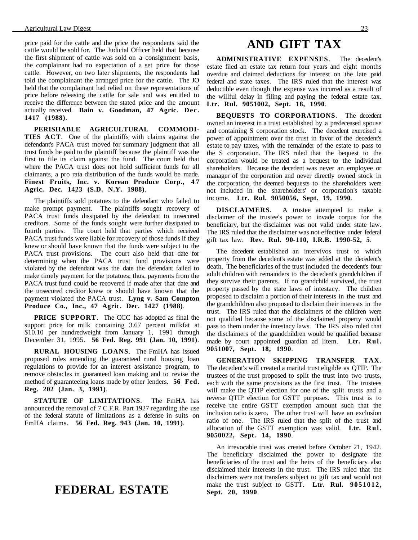price paid for the cattle and the price the respondents said the cattle would be sold for. The Judicial Officer held that because the first shipment of cattle was sold on a consignment basis, the complainant had no expectation of a set price for those cattle. However, on two later shipments, the respondents had told the complainant the arranged price for the cattle. The JO held that the complainant had relied on these representations of price before releasing the cattle for sale and was entitled to receive the difference between the stated price and the amount actually received. **Bain v. Goodman, 47 Agric. Dec. 1417 (1988)**.

**PERISHABLE AGRICULTURAL COMMODI-TIES ACT**. One of the plaintiffs with claims against the defendant's PACA trust moved for summary judgment that all trust funds be paid to the plaintiff because the plaintiff was the first to file its claim against the fund. The court held that where the PACA trust does not hold sufficient funds for all claimants, a pro rata distribution of the funds would be made. Finest Fruits, Inc. v. Korean Produce Corp., 47 **Agric. Dec. 1423 (S.D. N.Y. 1988)**.

The plaintiffs sold potatoes to the defendant who failed to make prompt payment. The plaintiffs sought recovery of PACA trust funds dissipated by the defendant to unsecured creditors. Some of the funds sought were further dissipated to fourth parties. The court held that parties which received PACA trust funds were liable for recovery of those funds if they knew or should have known that the funds were subject to the PACA trust provisions. The court also held that date for determining when the PACA trust fund provisions were violated by the defendant was the date the defendant failed to make timely payment for the potatoes; thus, payments from the PACA trust fund could be recovered if made after that date and the unsecured creditor knew or should have known that the payment violated the PACA trust. **Lyng v. Sam Compton Produce Co., Inc., 47 Agric. Dec. 1427 (1988)**.

**PRICE SUPPORT**. The CCC has adopted as final the support price for milk containing 3.67 percent milkfat at \$10.10 per hundredweight from January 1, 1991 through December 31, 1995. **56 Fed. Reg. 991 (Jan. 10, 1991)**.

**RURAL HOUSING LOANS**. The FmHA has issued proposed rules amending the guaranteed rural housing loan regulations to provide for an interest assistance program, to remove obstacles in guaranteed loan making and to revise the method of guaranteeing loans made by other lenders. **56 Fed. Reg. 202 (Jan. 3, 1991)**.

**STATUTE OF LIMITATIONS**. The FmHA has announced the removal of 7 C.F.R. Part 1927 regarding the use of the federal statute of limitations as a defense in suits on FmHA claims. **56 Fed. Reg. 943 (Jan. 10, 1991)**.

### **FEDERAL ESTATE**

### **AND GIFT TAX**

**ADMINISTRATIVE EXPENSES**. The decedent's estate filed an estate tax return four years and eight months overdue and claimed deductions for interest on the late paid federal and state taxes. The IRS ruled that the interest was deductible even though the expense was incurred as a result of the willful delay in filing and paying the federal estate tax. **Ltr. Rul. 9051002, Sept. 18, 1990**.

**BEQUESTS TO CORPORATIONS**. The decedent owned an interest in a trust established by a predeceased spouse and containing S corporation stock. The decedent exercised a power of appointment over the trust in favor of the decedent's estate to pay taxes, with the remainder of the estate to pass to the S corporation. The IRS ruled that the bequest to the corporation would be treated as a bequest to the individual shareholders. Because the decedent was never an employee or manager of the corporation and never directly owned stock in the corporation, the deemed bequests to the shareholders were not included in the shareholders' or corporation's taxable income. **Ltr. Rul. 9050056, Sept. 19, 1990**.

**DISCLAIMERS**. A trustee attempted to make a disclaimer of the trustee's power to invade corpus for the beneficiary, but the disclaimer was not valid under state law. The IRS ruled that the disclaimer was not effective under federal gift tax law. **Rev. Rul. 90-110, I.R.B. 1990-52, 5**.

The decedent established an intervivos trust to which property from the decedent's estate was added at the decedent's death. The beneficiaries of the trust included the decedent's four adult children with remainders to the decedent's grandchildren if they survive their parents. If no grandchild survived, the trust property passed by the state laws of intestacy. The children proposed to disclaim a portion of their interests in the trust and the grandchildren also proposed to disclaim their interests in the trust. The IRS ruled that the disclaimers of the children were not qualified because some of the disclaimed property would pass to them under the intestacy laws. The IRS also ruled that the disclaimers of the grandchildren would be qualified because made by court appointed guardian ad litem. **Ltr. Rul. 9051007, Sept. 18, 1990**.

**GENERATION SKIPPING TRANSFER TAX**. The decedent's will created a marital trust eligible as QTIP. The trustees of the trust proposed to split the trust into two trusts, each with the same provisions as the first trust. The trustees will make the QTIP election for one of the split trusts and a reverse QTIP election for GSTT purposes. This trust is to receive the entire GSTT exemption amount such that the inclusion ratio is zero. The other trust will have an exclusion ratio of one. The IRS ruled that the split of the trust and allocation of the GSTT exemption was valid. **Ltr. Rul. 9050022, Sept. 14, 1990**.

An irrevocable trust was created before October 21, 1942. The beneficiary disclaimed the power to designate the beneficiaries of the trust and the heirs of the beneficiary also disclaimed their interests in the trust. The IRS ruled that the disclaimers were not transfers subject to gift tax and would not make the trust subject to GSTT. **Ltr. Rul. 9051012, Sept. 20, 1990**.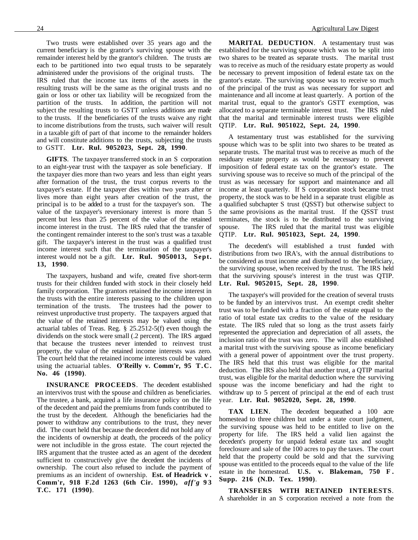Two trusts were established over 35 years ago and the current beneficiary is the grantor's surviving spouse with the remainder interest held by the grantor's children. The trusts are each to be partitioned into two equal trusts to be separately administered under the provisions of the original trusts. The IRS ruled that the income tax items of the assets in the resulting trusts will be the same as the original trusts and no gain or loss or other tax liability will be recognized from the partition of the trusts. In addition, the partition will not subject the resulting trusts to GSTT unless additions are made to the trusts. If the beneficiaries of the trusts waive any right to income distributions from the trusts, such waiver will result in a taxable gift of part of that income to the remainder holders and will constitute additions to the trusts, subjecting the trusts to GSTT. **Ltr. Rul. 9052023, Sept. 28, 1990**.

**GIFTS**. The taxpayer transferred stock in an S corporation to an eight-year trust with the taxpayer as sole beneficiary. If the taxpayer dies more than two years and less than eight years after formation of the trust, the trust corpus reverts to the taxpayer's estate. If the taxpayer dies within two years after or lives more than eight years after creation of the trust, the principal is to be added to a trust for the taxpayer's son. The value of the taxpayer's reversionary interest is more than 5 percent but less than 25 percent of the value of the retained income interest in the trust. The IRS ruled that the transfer of the contingent remainder interest to the son's trust was a taxable gift. The taxpayer's interest in the trust was a qualified trust income interest such that the termination of the taxpayer's interest would not be a gift. **Ltr. Rul. 9050013, Sept. 13, 1990**.

The taxpayers, husband and wife, created five short-term trusts for their children funded with stock in their closely held family corporation. The grantors retained the income interest in the trusts with the entire interests passing to the children upon termination of the trusts. The trustees had the power to reinvest unproductive trust property. The taxpayers argued that the value of the retained interests may be valued using the actuarial tables of Treas. Reg. § 25.2512-5(f) even though the dividends on the stock were small (.2 percent). The IRS argued that because the trustees never intended to reinvest trust property, the value of the retained income interests was zero. The court held that the retained income interests could be valued using the actuarial tables. **O'Reilly v. Comm'r, 95 T.C. No. 46 (1990)**.

**INSURANCE PROCEEDS**. The decedent established an intervivos trust with the spouse and children as beneficiaries. The trustee, a bank, acquired a life insurance policy on the life of the decedent and paid the premiums from funds contributed to the trust by the decedent. Although the beneficiaries had the power to withdraw any contributions to the trust, they never did. The court held that because the decedent did not hold any of the incidents of ownership at death, the proceeds of the policy were not includible in the gross estate. The court rejected the IRS argument that the trustee acted as an agent of the decedent sufficient to constructively give the decedent the incidents of ownership. The court also refused to include the payment of premiums as an incident of ownership. **Est. of Headrick v . Comm'r, 918 F.2d 1263 (6th Cir. 1990),** *aff'g* **93 T.C. 171 (1990)**.

**MARITAL DEDUCTION**. A testamentary trust was established for the surviving spouse which was to be split into two shares to be treated as separate trusts. The marital trust was to receive as much of the residuary estate property as would be necessary to prevent imposition of federal estate tax on the grantor's estate. The surviving spouse was to receive so much of the principal of the trust as was necessary for support and maintenance and all income at least quarterly. A portion of the marital trust, equal to the grantor's GSTT exemption, was allocated to a separate terminable interest trust. The IRS ruled that the marital and terminable interest trusts were eligible QTIP. **Ltr. Rul. 9051022, Sept. 24, 1990**.

A testamentary trust was established for the surviving spouse which was to be split into two shares to be treated as separate trusts. The marital trust was to receive as much of the residuary estate property as would be necessary to prevent imposition of federal estate tax on the grantor's estate. The surviving spouse was to receive so much of the principal of the trust as was necessary for support and maintenance and all income at least quarterly. If S corporation stock became trust property, the stock was to be held in a separate trust eligible as a qualified subchapter S trust (QSST) but otherwise subject to the same provisions as the marital trust. If the QSST trust terminates, the stock is to be distributed to the surviving spouse. The IRS ruled that the marital trust was eligible QTIP. **Ltr. Rul. 9051023, Sept. 24, 1990**.

The decedent's will established a trust funded with distributions from two IRA's, with the annual distributions to be considered as trust income and distributed to the beneficiary, the surviving spouse, when received by the trust. The IRS held that the surviving spouse's interest in the trust was QTIP. **Ltr. Rul. 9052015, Sept. 28, 1990**.

The taxpayer's will provided for the creation of several trusts to be funded by an intervivos trust. An exempt credit shelter trust was to be funded with a fraction of the estate equal to the ratio of total estate tax credits to the value of the residuary estate. The IRS ruled that so long as the trust assets fairly represented the appreciation and depreciation of all assets, the inclusion ratio of the trust was zero. The will also established a marital trust with the surviving spouse as income beneficiary with a general power of appointment over the trust property. The IRS held that this trust was eligible for the marital deduction. The IRS also held that another trust, a QTIP marital trust, was eligible for the marital deduction where the surviving spouse was the income beneficiary and had the right to withdraw up to 5 percent of principal at the end of each trust year. **Ltr. Rul. 9052020, Sept. 28, 1990**.

**TAX LIEN**. The decedent bequeathed a 100 acre homestead to three children but under a state court judgment, the surviving spouse was held to be entitled to live on the property for life. The IRS held a valid lien against the decedent's property for unpaid federal estate tax and sought foreclosure and sale of the 100 acres to pay the taxes. The court held that the property could be sold and that the surviving spouse was entitled to the proceeds equal to the value of the life estate in the homestead. **U.S. v. Blakeman, 750 F . Supp. 216 (N.D. Tex. 1990)**.

**TRANSFERS WITH RETAINED INTERESTS**. A shareholder in an S corporation received a note from the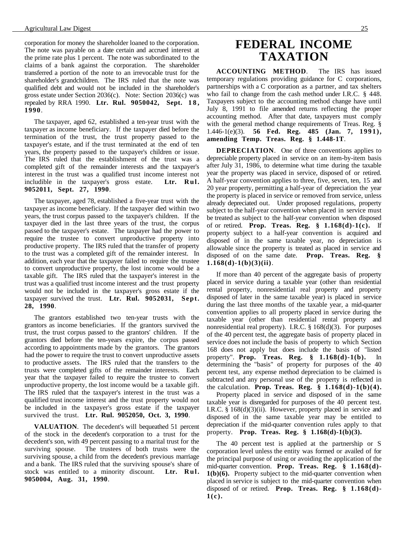corporation for money the shareholder loaned to the corporation. The note was payable on a date certain and accrued interest at the prime rate plus 1 percent. The note was subordinated to the claims of a bank against the corporation. The shareholder transferred a portion of the note to an irrevocable trust for the shareholder's grandchildren. The IRS ruled that the note was qualified debt and would not be included in the shareholder's gross estate under Section 2036(c). Note: Section 2036(c) was repealed by RRA 1990. **Ltr. Rul. 9050042, Sept. 1 8 , 1990**.

The taxpayer, aged 62, established a ten-year trust with the taxpayer as income beneficiary. If the taxpayer died before the termination of the trust, the trust property passed to the taxpayer's estate, and if the trust terminated at the end of ten years, the property passed to the taxpayer's children or issue. The IRS ruled that the establishment of the trust was a completed gift of the remainder interests and the taxpayer's interest in the trust was a qualified trust income interest not includible in the taxpayer's gross estate. **Ltr. Rul. 9052011, Sept. 27, 1990**.

The taxpayer, aged 78, established a five-year trust with the taxpayer as income beneficiary. If the taxpayer died within two years, the trust corpus passed to the taxpayer's children. If the taxpayer died in the last three years of the trust, the corpus passed to the taxpayer's estate. The taxpayer had the power to require the trustee to convert unproductive property into productive property. The IRS ruled that the transfer of property to the trust was a completed gift of the remainder interest. In addition, each year that the taxpayer failed to require the trustee to convert unproductive property, the lost income would be a taxable gift. The IRS ruled that the taxpayer's interest in the trust was a qualified trust income interest and the trust property would not be included in the taxpayer's gross estate if the taxpayer survived the trust. **Ltr. Rul. 9052031, Sept. 28, 1990**.

The grantors established two ten-year trusts with the grantors as income beneficiaries. If the grantors survived the trust, the trust corpus passed to the grantors' children. If the grantors died before the ten-years expire, the corpus passed according to appointments made by the grantors. The grantors had the power to require the trust to convert unproductive assets to productive assets. The IRS ruled that the transfers to the trusts were completed gifts of the remainder interests. Each year that the taxpayer failed to require the trustee to convert unproductive property, the lost income would be a taxable gift. The IRS ruled that the taxpayer's interest in the trust was a qualified trust income interest and the trust property would not be included in the taxpayer's gross estate if the taxpayer survived the trust. **Ltr. Rul. 9052050, Oct. 3, 1990**.

**VALUATION**. The decedent's will bequeathed 51 percent of the stock in the decedent's corporation to a trust for the decedent's son, with 49 percent passing to a marital trust for the surviving spouse. The trustees of both trusts were the surviving spouse, a child from the decedent's previous marriage and a bank. The IRS ruled that the surviving spouse's share of stock was entitled to a minority discount. **Ltr. Rul. 9050004, Aug. 31, 1990**.

# **FEDERAL INCOME TAXATION**

**ACCOUNTING METHOD**. The IRS has issued temporary regulations providing guidance for C corporations, partnerships with a C corporation as a partner, and tax shelters who fail to change from the cash method under I.R.C. § 448. Taxpayers subject to the accounting method change have until July 8, 1991 to file amended returns reflecting the proper accounting method. After that date, taxpayers must comply with the general method change requirements of Treas. Reg. § 1.446-1(e)(3). **56 Fed. Reg. 485 (Jan. 7, 1991), amending Temp. Treas. Reg. § 1.448-1T**.

**DEPRECIATION.** One of three conventions applies to depreciable property placed in service on an item-by-item basis after July 31, 1986, to determine what time during the taxable year the property was placed in service, disposed of or retired. A half-year convention applies to three, five, seven, ten, 15 and 20 year property, permitting a half-year of depreciation the year the property is placed in service or removed from service, unless already depreciated out. Under proposed regulations, property subject to the half-year convention when placed in service must be treated as subject to the half-year convention when disposed of or retired. **Prop. Treas. Reg. § 1.168(d)-1(c).** If property subject to a half-year convention is acquired and disposed of in the same taxable year, no depreciation is allowable since the property is treated as placed in service and disposed of on the same date. **Prop. Treas. Reg. § 1.168(d)-1(b)(3)(ii)**.

If more than 40 percent of the aggregate basis of property placed in service during a taxable year (other than residential rental property, nonresidential real property and property disposed of later in the same taxable year) is placed in service during the last three months of the taxable year, a mid-quarter convention applies to all property placed in service during the taxable year (other than residential rental property and nonresidential real property). I.R.C. § 168(d)(3). For purposes of the 40 percent test, the aggregate basis of property placed in service does not include the basis of property to which Section 168 does not apply but does include the basis of "listed property". **Prop. Treas. Reg. § 1.168(d)-1(b).** In determining the "basis" of property for purposes of the 40 percent test, any expense method depreciation to be claimed is subtracted and any personal use of the property is reflected in the calculation. **Prop. Treas. Reg. § 1.168(d)-1(b)(4).**

Property placed in service and disposed of in the same taxable year is disregarded for purposes of the 40 percent test. I.R.C. § 168(d)(3)(ii). However, property placed in service and disposed of in the same taxable year may be entitled to depreciation if the mid-quarter convention rules apply to that property. **Prop. Treas. Reg. § 1.168(d)-1(b)(3).**

The 40 percent test is applied at the partnership or S corporation level unless the entity was formed or availed of for the principal purpose of using or avoiding the application of the mid-quarter convention. **Prop. Treas. Reg. § 1.168(d)- 1(b)(6).** Property subject to the mid-quarter convention when placed in service is subject to the mid-quarter convention when disposed of or retired. **Prop. Treas. Reg. § 1.168(d)- 1(c).**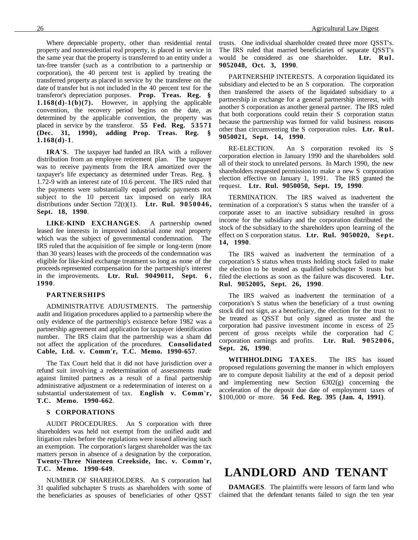Where depreciable property, other than residential rental property and nonresidential real property, is placed in service in the same year that the property is transferred to an entity under a tax-free transfer (such as a contribution to a partnership or corporation), the 40 percent test is applied by treating the transferred property as placed in service by the transferee on the date of transfer but is not included in the 40 percent test for the transferor's depreciation purposes. **Prop. Treas. Reg. § 1.168(d)-1(b)(7).** However, in applying the applicable convention, the recovery period begins on the date, as determined by the applicable convention, the property was placed in service by the transferor. **55 Fed. Reg. 53571 (Dec. 31, 1990), adding Prop. Treas. Reg. § 1.168(d)-1**.

**IRA'S**. The taxpayer had funded an IRA with a rollover distribution from an employee retirement plan. The taxpayer was to receive payments from the IRA amortized over the taxpayer's life expectancy as determined under Treas. Reg. § 1.72-9 with an interest rate of 10.6 percent. The IRS ruled that the payments were substantially equal periodic payments not subject to the 10 percent tax imposed on early IRA distributions under Section 72(t)(1). **Ltr. Rul. 9050046, Sept. 18, 1990**.

**LIKE-KIND EXCHANGES**. A partnership owned leased fee interests in improved industrial zone real property which was the subject of governmental condemnation. The IRS ruled that the acquisition of fee simple or long-term (more than 30 years) leases with the proceeds of the condemnation was eligible for like-kind exchange treatment so long as none of the proceeds represented compensation for the partnership's interest in the improvements. **Ltr. Rul. 9049011, Sept. 6 , 1990**.

#### **PARTNERSHIPS**

ADMINISTRATIVE ADJUSTMENTS. The partnership audit and litigation procedures applied to a partnership where the only evidence of the partnership's existence before 1982 was a partnership agreement and application for taxpayer identification number. The IRS claim that the partnership was a sham did not affect the application of the procedures. **Consolidated Cable, Ltd. v. Comm'r, T.C. Memo. 1990-657**.

The Tax Court held that it did not have jurisdiction over a refund suit involving a redetermination of assessments made against limited partners as a result of a final partnership administrative adjustment or a redetermination of interest on a substantial understatement of tax. **English v. Comm'r, T.C. Memo. 1990-662**.

#### **S CORPORATIONS**

AUDIT PROCEDURES. An S corporation with three shareholders was held not exempt from the unified audit and litigation rules before the regulations were issued allowing such an exemption. The corporation's largest shareholder was the tax matters person in absence of a designation by the corporation. **Twenty-Three Nineteen Creekside, Inc. v. Comm'r, T.C. Memo. 1990-649**.

NUMBER OF SHAREHOLDERS. An S corporation had 31 qualified subchapter S trusts as shareholders with some of the beneficiaries as spouses of beneficiaries of other QSST trusts. One individual shareholder created three more QSST's. The IRS ruled that married beneficiaries of separate QSST's would be considered as one shareholder. **Ltr. Rul. 9052048, Oct. 3, 1990**.

PARTNERSHIP INTERESTS. A corporation liquidated its subsidiary and elected to be an S corporation. The corporation then transferred the assets of the liquidated subsidiary to a partnership in exchange for a general partnership interest, with another S corporation as another general partner. The IRS ruled that both corporations could retain their S corporation status because the partnership was formed for valid business reasons other than circumventing the S corporation rules. **Ltr. Rul. 9050021, Sept. 14, 1990**.

RE-ELECTION. An S corporation revoked its S corporation election in January 1990 and the shareholders sold all of their stock to unrelated persons. In March 1990, the new shareholders requested permission to make a new S corporation election effective on January 1, 1991. The IRS granted the request. **Ltr. Rul. 9050050, Sept. 19, 1990**.

TERMINATION. The IRS waived as inadvertent the termination of a corporation's S status when the transfer of a corporate asset to an inactive subsidiary resulted in gross income for the subsidiary and the corporation distributed the stock of the subsidiary to the shareholders upon learning of the effect on S corporation status. **Ltr. Rul. 9050020, Sept. 14, 1990**.

The IRS waived as inadvertent the termination of a corporation's S status when trusts holding stock failed to make the election to be treated as qualified subchapter S trusts but filed the elections as soon as the failure was discovered. **Ltr. Rul. 9052005, Sept. 26, 1990**.

The IRS waived as inadvertent the termination of a corporation's S status when the beneficiary of a trust owning stock did not sign, as a beneficiary, the election for the trust to be treated as QSST but only signed as trustee and the corporation had passive investment income in excess of 25 percent of gross receipts while the corporation had C corporation earnings and profits. **Ltr. Rul. 9052006, Sept. 26, 1990**.

**WITHHOLDING TAXES**. The IRS has issued proposed regulations governing the manner in which employers are to compute deposit liability at the end of a deposit period and implementing new Section 6302(g) concerning the acceleration of the deposit due date of employment taxes of \$100,000 or more. **56 Fed. Reg. 395 (Jan. 4, 1991)**.

### **LANDLORD AND TENANT**

**DAMAGES**. The plaintiffs were lessors of farm land who claimed that the defendant tenants failed to sign the ten year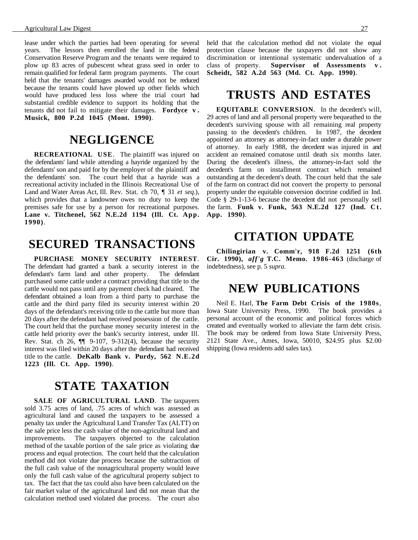lease under which the parties had been operating for several years. The lessors then enrolled the land in the federal Conservation Reserve Program and the tenants were required to plow up 83 acres of pubescent wheat grass seed in order to remain qualified for federal farm program payments. The court held that the tenants' damages awarded would not be reduced because the tenants could have plowed up other fields which would have produced less loss where the trial court had substantial credible evidence to support its holding that the tenants did not fail to mitigate their damages. **Fordyce v . Musick, 800 P.2d 1045 (Mont. 1990)**.

### **NEGLIGENCE**

**RECREATIONAL USE**. The plaintiff was injured on the defendants' land while attending a hayride organized by the defendants' son and paid for by the employer of the plaintiff and the defendants' son. The court held that a hayride was a recreational activity included in the Illinois Recreational Use of Land and Water Areas Act, Ill. Rev. Stat. ch 70, ¶ 31 *et seq*.), which provides that a landowner owes no duty to keep the premises safe for use by a person for recreational purposes. **Lane v. Titchenel, 562 N.E.2d 1194 (Ill. Ct. App. 1990)**.

# **SECURED TRANSACTIONS**

**PURCHASE MONEY SECURITY INTEREST**. The defendant had granted a bank a security interest in the defendant's farm land and other property. The defendant purchased some cattle under a contract providing that title to the cattle would not pass until any payment check had cleared. The defendant obtained a loan from a third party to purchase the cattle and the third party filed its security interest within 20 days of the defendant's receiving title to the cattle but more than 20 days after the defendant had received possession of the cattle. The court held that the purchase money security interest in the cattle held priority over the bank's security interest, under Ill. Rev. Stat. ch 26, ¶¶ 9-107, 9-312(4), because the security interest was filed within 20 days after the defendant had received title to the cattle. **DeKalb Bank v. Purdy, 562 N.E.2d 1223 (Ill. Ct. App. 1990)**.

### **STATE TAXATION**

SALE OF AGRICULTURAL LAND. The taxpayers sold 3.75 acres of land, .75 acres of which was assessed as agricultural land and caused the taxpayers to be assessed a penalty tax under the Agricultural Land Transfer Tax (ALTT) on the sale price less the cash value of the non-agricultural land and improvements. The taxpayers objected to the calculation method of the taxable portion of the sale price as violating due process and equal protection. The court held that the calculation method did not violate due process because the subtraction of the full cash value of the nonagricultural property would leave only the full cash value of the agricultural property subject to tax. The fact that the tax could also have been calculated on the fair market value of the agricultural land did not mean that the calculation method used violated due process. The court also

held that the calculation method did not violate the equal protection clause because the taxpayers did not show any discrimination or intentional systematic undervaluation of a class of property. **Supervisor of Assessments v . Scheidt, 582 A.2d 563 (Md. Ct. App. 1990)**.

### **TRUSTS AND ESTATES**

**EQUITABLE CONVERSION**. In the decedent's will, 29 acres of land and all personal property were bequeathed to the decedent's surviving spouse with all remaining real property passing to the decedent's children. In 1987, the decedent appointed an attorney as attorney-in-fact under a durable power of attorney. In early 1988, the decedent was injured in and accident an remained comatose until death six months later. During the decedent's illness, the attorney-in-fact sold the decedent's farm on installment contract which remained outstanding at the decedent's death. The court held that the sale of the farm on contract did not convert the property to personal property under the equitable conversion doctrine codified in Ind. Code § 29-1-13-6 because the decedent did not personally sell the farm. **Funk v. Funk, 563 N.E.2d 127 (Ind. Ct. App. 1990)**.

### **CITATION UPDATE**

**Chilingirian v. Comm'r, 918 F.2d 1251 (6th Cir. 1990),** *aff'g* **T.C. Memo. 1986-463** (discharge of indebtedness), see p. 5 *supra*.

### **NEW PUBLICATIONS**

Neil E. Harl, **The Farm Debt Crisis of the 1980s**, Iowa State University Press, 1990. The book provides a personal account of the economic and political forces which created and eventually worked to alleviate the farm debt crisis. The book may be ordered from Iowa State University Press, 2121 State Ave., Ames, Iowa, 50010, \$24.95 plus \$2.00 shipping (Iowa residents add sales tax).